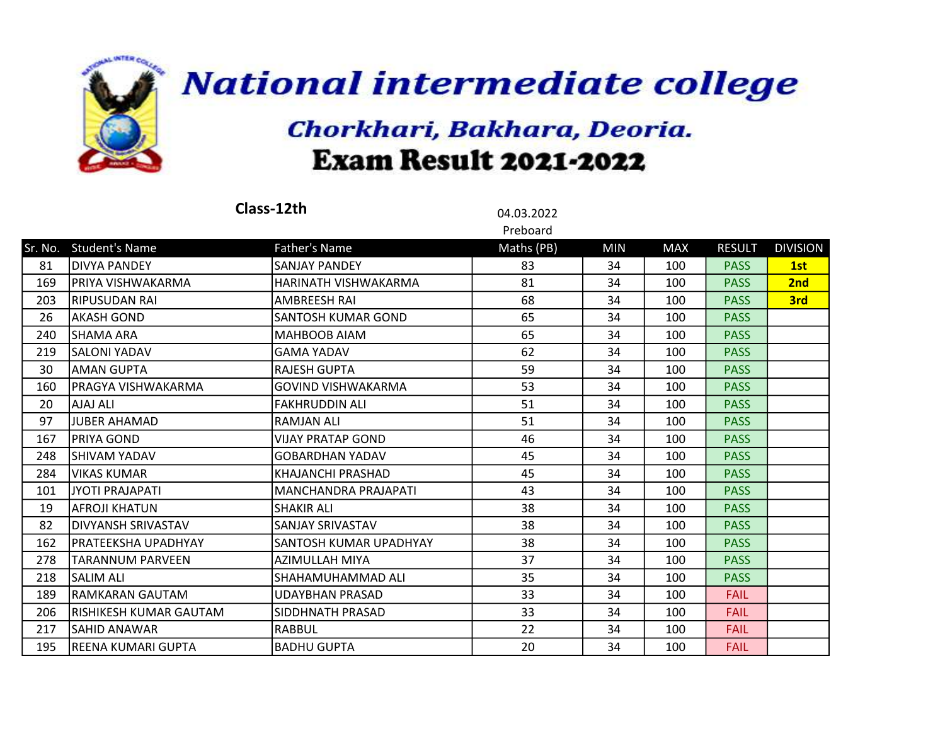

|     |                           | Class-12th                | 04.03.2022 |            |            |               |                 |
|-----|---------------------------|---------------------------|------------|------------|------------|---------------|-----------------|
|     |                           |                           | Preboard   |            |            |               |                 |
|     | Sr. No. Student's Name    | <b>Father's Name</b>      | Maths (PB) | <b>MIN</b> | <b>MAX</b> | <b>RESULT</b> | <b>DIVISION</b> |
| 81  | <b>DIVYA PANDEY</b>       | <b>SANJAY PANDEY</b>      | 83         | 34         | 100        | <b>PASS</b>   | 1st             |
| 169 | PRIYA VISHWAKARMA         | HARINATH VISHWAKARMA      | 81         | 34         | 100        | <b>PASS</b>   | 2nd             |
| 203 | RIPUSUDAN RAI             | AMBREESH RAI              | 68         | 34         | 100        | <b>PASS</b>   | 3rd             |
| 26  | AKASH GOND                | SANTOSH KUMAR GOND        | 65         | 34         | 100        | <b>PASS</b>   |                 |
| 240 | <b>SHAMA ARA</b>          | MAHBOOB AIAM              | 65         | 34         | 100        | <b>PASS</b>   |                 |
| 219 | ISALONI YADAV             | <b>GAMA YADAV</b>         | 62         | 34         | 100        | <b>PASS</b>   |                 |
| 30  | <b>AMAN GUPTA</b>         | <b>RAJESH GUPTA</b>       | 59         | 34         | 100        | <b>PASS</b>   |                 |
| 160 | PRAGYA VISHWAKARMA        | <b>GOVIND VISHWAKARMA</b> | 53         | 34         | 100        | <b>PASS</b>   |                 |
| 20  | AJAJ ALI                  | <b>FAKHRUDDIN ALI</b>     | 51         | 34         | 100        | <b>PASS</b>   |                 |
| 97  | <b>JUBER AHAMAD</b>       | <b>RAMJAN ALI</b>         | 51         | 34         | 100        | <b>PASS</b>   |                 |
| 167 | <b>PRIYA GOND</b>         | <b>VIJAY PRATAP GOND</b>  | 46         | 34         | 100        | <b>PASS</b>   |                 |
| 248 | SHIVAM YADAV              | <b>GOBARDHAN YADAV</b>    | 45         | 34         | 100        | <b>PASS</b>   |                 |
| 284 | VIKAS KUMAR               | KHAJANCHI PRASHAD         | 45         | 34         | 100        | <b>PASS</b>   |                 |
| 101 | JYOTI PRAJAPATI           | MANCHANDRA PRAJAPATI      | 43         | 34         | 100        | <b>PASS</b>   |                 |
| 19  | AFROJI KHATUN             | <b>SHAKIR ALI</b>         | 38         | 34         | 100        | <b>PASS</b>   |                 |
| 82  | <b>DIVYANSH SRIVASTAV</b> | SANJAY SRIVASTAV          | 38         | 34         | 100        | <b>PASS</b>   |                 |
| 162 | IPRATEEKSHA UPADHYAY      | SANTOSH KUMAR UPADHYAY    | 38         | 34         | 100        | <b>PASS</b>   |                 |
| 278 | TARANNUM PARVEEN          | AZIMULLAH MIYA            | 37         | 34         | 100        | <b>PASS</b>   |                 |
| 218 | <b>SALIM ALI</b>          | SHAHAMUHAMMAD ALI         | 35         | 34         | 100        | <b>PASS</b>   |                 |
| 189 | RAMKARAN GAUTAM           | <b>UDAYBHAN PRASAD</b>    | 33         | 34         | 100        | <b>FAIL</b>   |                 |
| 206 | İRISHIKESH KUMAR GAUTAM   | SIDDHNATH PRASAD          | 33         | 34         | 100        | <b>FAIL</b>   |                 |
| 217 | lsahid anawar             | <b>RABBUL</b>             | 22         | 34         | 100        | <b>FAIL</b>   |                 |
| 195 | IREENA KUMARI GUPTA       | <b>BADHU GUPTA</b>        | 20         | 34         | 100        | <b>FAIL</b>   |                 |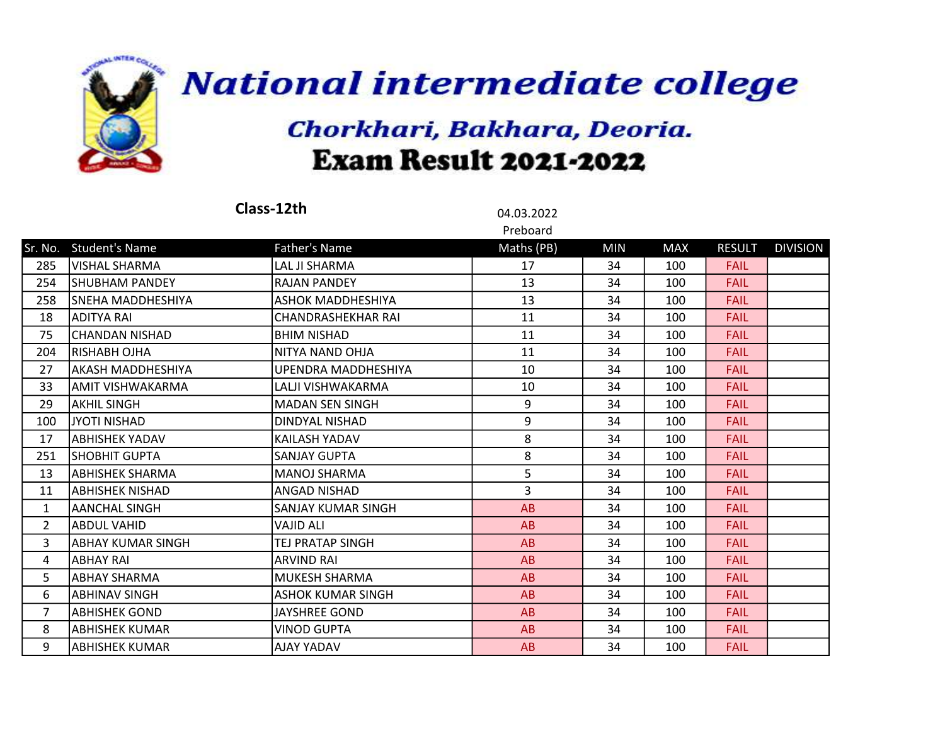

|                |                          | Class-12th               | 04.03.2022     |            |            |               |                 |
|----------------|--------------------------|--------------------------|----------------|------------|------------|---------------|-----------------|
|                |                          |                          | Preboard       |            |            |               |                 |
| Sr. No.        | <b>Student's Name</b>    | <b>Father's Name</b>     | Maths (PB)     | <b>MIN</b> | <b>MAX</b> | <b>RESULT</b> | <b>DIVISION</b> |
| 285            | <b>VISHAL SHARMA</b>     | LAL JI SHARMA            | 17             | 34         | 100        | <b>FAIL</b>   |                 |
| 254            | <b>SHUBHAM PANDEY</b>    | <b>RAJAN PANDEY</b>      | 13             | 34         | 100        | <b>FAIL</b>   |                 |
| 258            | SNEHA MADDHESHIYA        | ASHOK MADDHESHIYA        | 13             | 34         | 100        | <b>FAIL</b>   |                 |
| 18             | IADITYA RAI              | CHANDRASHEKHAR RAI       | 11             | 34         | 100        | <b>FAIL</b>   |                 |
| 75             | <b>CHANDAN NISHAD</b>    | <b>BHIM NISHAD</b>       | 11             | 34         | 100        | <b>FAIL</b>   |                 |
| 204            | RISHABH OJHA             | NITYA NAND OHJA          | 11             | 34         | 100        | <b>FAIL</b>   |                 |
| 27             | <b>AKASH MADDHESHIYA</b> | UPENDRA MADDHESHIYA      | 10             | 34         | 100        | <b>FAIL</b>   |                 |
| 33             | lAMIT VISHWAKARMA        | LALJI VISHWAKARMA        | 10             | 34         | 100        | <b>FAIL</b>   |                 |
| 29             | <b>AKHIL SINGH</b>       | <b>MADAN SEN SINGH</b>   | 9              | 34         | 100        | <b>FAIL</b>   |                 |
| 100            | JYOTI NISHAD             | DINDYAL NISHAD           | 9              | 34         | 100        | <b>FAIL</b>   |                 |
| 17             | ABHISHEK YADAV           | KAILASH YADAV            | 8              | 34         | 100        | <b>FAIL</b>   |                 |
| 251            | <b>SHOBHIT GUPTA</b>     | <b>SANJAY GUPTA</b>      | 8              | 34         | 100        | <b>FAIL</b>   |                 |
| 13             | ABHISHEK SHARMA          | <b>MANOJ SHARMA</b>      | 5              | 34         | 100        | <b>FAIL</b>   |                 |
| 11             | lABHISHEK NISHAD         | <b>ANGAD NISHAD</b>      | $\overline{3}$ | 34         | 100        | <b>FAIL</b>   |                 |
| $\mathbf{1}$   | <b>AANCHAL SINGH</b>     | SANJAY KUMAR SINGH       | AB             | 34         | 100        | <b>FAIL</b>   |                 |
| 2              | <b>ABDUL VAHID</b>       | <b>VAJID ALI</b>         | AB             | 34         | 100        | <b>FAIL</b>   |                 |
| 3              | ABHAY KUMAR SINGH        | TEJ PRATAP SINGH         | AB             | 34         | 100        | <b>FAIL</b>   |                 |
| 4              | ABHAY RAI                | <b>ARVIND RAI</b>        | AB             | 34         | 100        | <b>FAIL</b>   |                 |
| 5              | <b>ABHAY SHARMA</b>      | <b>MUKESH SHARMA</b>     | AB             | 34         | 100        | <b>FAIL</b>   |                 |
| 6              | ABHINAV SINGH            | <b>ASHOK KUMAR SINGH</b> | AB             | 34         | 100        | <b>FAIL</b>   |                 |
| $\overline{7}$ | <b>ABHISHEK GOND</b>     | JAYSHREE GOND            | AB             | 34         | 100        | <b>FAIL</b>   |                 |
| 8              | <b>ABHISHEK KUMAR</b>    | <b>VINOD GUPTA</b>       | AB             | 34         | 100        | <b>FAIL</b>   |                 |
| 9              | ABHISHEK KUMAR           | AJAY YADAV               | AB             | 34         | 100        | <b>FAIL</b>   |                 |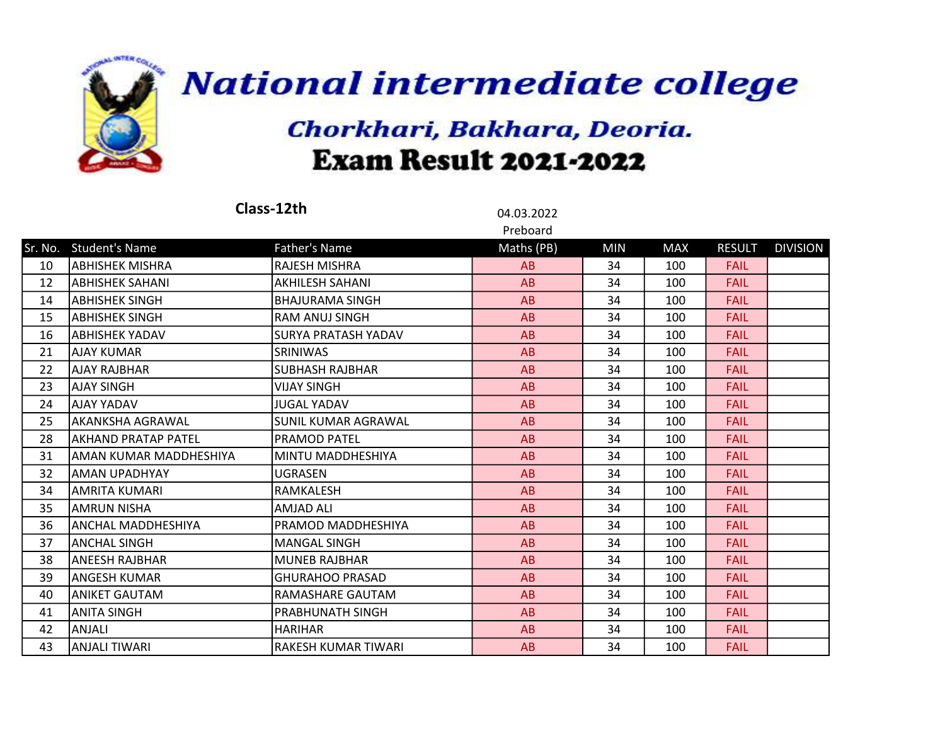

|    |                         | Class-12th                 | 04.03.2022<br>Preboard |            |            |               |                 |
|----|-------------------------|----------------------------|------------------------|------------|------------|---------------|-----------------|
|    | Sr. No. Student's Name  | <b>Father's Name</b>       | Maths (PB)             | <b>MIN</b> | <b>MAX</b> | <b>RESULT</b> | <b>DIVISION</b> |
| 10 | ABHISHEK MISHRA         | RAJESH MISHRA              | AB                     | 34         | 100        | <b>FAIL</b>   |                 |
| 12 | ABHISHEK SAHANI         | <b>AKHILESH SAHANI</b>     | AB                     | 34         | 100        | <b>FAIL</b>   |                 |
| 14 | ABHISHEK SINGH          | <b>BHAJURAMA SINGH</b>     | AB                     | 34         | 100        | <b>FAIL</b>   |                 |
| 15 | ABHISHEK SINGH          | <b>RAM ANUJ SINGH</b>      | AB                     | 34         | 100        | <b>FAIL</b>   |                 |
| 16 | labhishek yadav         | <b>SURYA PRATASH YADAV</b> | AB                     | 34         | 100        | <b>FAIL</b>   |                 |
| 21 | AJAY KUMAR              | <b>SRINIWAS</b>            | AB                     | 34         | 100        | <b>FAIL</b>   |                 |
| 22 | <b>AJAY RAJBHAR</b>     | <b>SUBHASH RAJBHAR</b>     | AB                     | 34         | 100        | <b>FAIL</b>   |                 |
| 23 | lajay singh             | <b>VIJAY SINGH</b>         | AB                     | 34         | 100        | <b>FAIL</b>   |                 |
| 24 | AJAY YADAV              | <b>JUGAL YADAV</b>         | AB                     | 34         | 100        | <b>FAIL</b>   |                 |
| 25 | lakanksha agrawal       | SUNIL KUMAR AGRAWAL        | AB                     | 34         | 100        | <b>FAIL</b>   |                 |
| 28 | AKHAND PRATAP PATEL     | <b>PRAMOD PATEL</b>        | AB                     | 34         | 100        | <b>FAIL</b>   |                 |
| 31 | laman kumar maddheshiya | MINTU MADDHESHIYA          | AB                     | 34         | 100        | <b>FAIL</b>   |                 |
| 32 | IAMAN UPADHYAY          | <b>UGRASEN</b>             | AB                     | 34         | 100        | <b>FAIL</b>   |                 |
| 34 | lamrita kumari          | RAMKALESH                  | AB                     | 34         | 100        | <b>FAIL</b>   |                 |
| 35 | lamrun nisha            | <b>AMJAD ALI</b>           | AB                     | 34         | 100        | <b>FAIL</b>   |                 |
| 36 | lanchal Maddheshiya     | PRAMOD MADDHESHIYA         | AB                     | 34         | 100        | <b>FAIL</b>   |                 |
| 37 | IANCHAL SINGH           | <b>MANGAL SINGH</b>        | AB                     | 34         | 100        | <b>FAIL</b>   |                 |
| 38 | laneesh rajbhar         | <b>MUNEB RAJBHAR</b>       | AB                     | 34         | 100        | <b>FAIL</b>   |                 |
| 39 | ANGESH KUMAR            | <b>GHURAHOO PRASAD</b>     | AB                     | 34         | 100        | <b>FAIL</b>   |                 |
| 40 | ANIKET GAUTAM           | RAMASHARE GAUTAM           | AB                     | 34         | 100        | <b>FAIL</b>   |                 |
| 41 | ANITA SINGH             | PRABHUNATH SINGH           | AB                     | 34         | 100        | <b>FAIL</b>   |                 |
| 42 | <b>ANJALI</b>           | <b>HARIHAR</b>             | AB                     | 34         | 100        | <b>FAIL</b>   |                 |
| 43 | ANJALI TIWARI           | RAKESH KUMAR TIWARI        | AB                     | 34         | 100        | <b>FAIL</b>   |                 |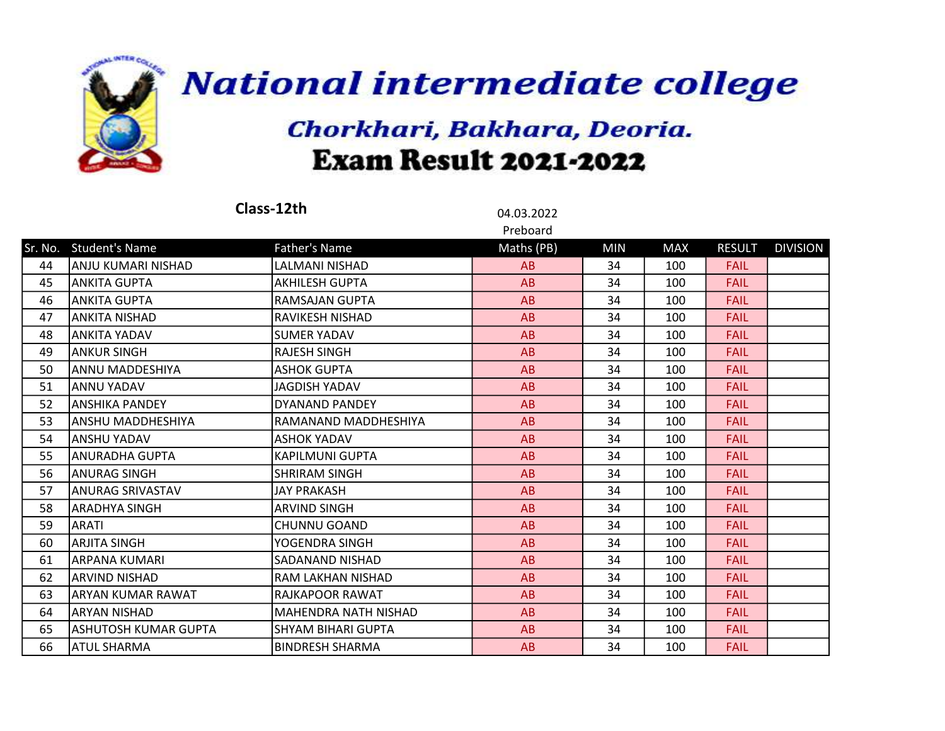

|         | Class-12th            | 04.03.2022               |            |            |            |               |                 |
|---------|-----------------------|--------------------------|------------|------------|------------|---------------|-----------------|
|         |                       |                          | Preboard   |            |            |               |                 |
| Sr. No. | <b>Student's Name</b> | <b>Father's Name</b>     | Maths (PB) | <b>MIN</b> | <b>MAX</b> | <b>RESULT</b> | <b>DIVISION</b> |
| 44      | ANJU KUMARI NISHAD    | LALMANI NISHAD           | AB         | 34         | 100        | <b>FAIL</b>   |                 |
| 45      | <b>ANKITA GUPTA</b>   | <b>AKHILESH GUPTA</b>    | AB         | 34         | 100        | <b>FAIL</b>   |                 |
| 46      | <b>ANKITA GUPTA</b>   | RAMSAJAN GUPTA           | AB         | 34         | 100        | <b>FAIL</b>   |                 |
| 47      | IANKITA NISHAD        | RAVIKESH NISHAD          | AB         | 34         | 100        | <b>FAIL</b>   |                 |
| 48      | ANKITA YADAV          | <b>SUMER YADAV</b>       | AB         | 34         | 100        | <b>FAIL</b>   |                 |
| 49      | <b>ANKUR SINGH</b>    | <b>RAJESH SINGH</b>      | AB         | 34         | 100        | <b>FAIL</b>   |                 |
| 50      | ANNU MADDESHIYA       | <b>ASHOK GUPTA</b>       | AB         | 34         | 100        | <b>FAIL</b>   |                 |
| 51      | ANNU YADAV            | <b>JAGDISH YADAV</b>     | AB         | 34         | 100        | <b>FAIL</b>   |                 |
| 52      | ANSHIKA PANDEY        | DYANAND PANDEY           | AB         | 34         | 100        | <b>FAIL</b>   |                 |
| 53      | ANSHU MADDHESHIYA     | RAMANAND MADDHESHIYA     | AB         | 34         | 100        | <b>FAIL</b>   |                 |
| 54      | ANSHU YADAV           | <b>ASHOK YADAV</b>       | AB         | 34         | 100        | <b>FAIL</b>   |                 |
| 55      | <b>ANURADHA GUPTA</b> | <b>KAPILMUNI GUPTA</b>   | AB         | 34         | 100        | <b>FAIL</b>   |                 |
| 56      | ANURAG SINGH          | <b>SHRIRAM SINGH</b>     | AB         | 34         | 100        | <b>FAIL</b>   |                 |
| 57      | ANURAG SRIVASTAV      | JAY PRAKASH              | AB         | 34         | 100        | <b>FAIL</b>   |                 |
| 58      | ARADHYA SINGH         | <b>ARVIND SINGH</b>      | AB         | 34         | 100        | <b>FAIL</b>   |                 |
| 59      | <b>ARATI</b>          | <b>CHUNNU GOAND</b>      | AB         | 34         | 100        | <b>FAIL</b>   |                 |
| 60      | <b>ARJITA SINGH</b>   | YOGENDRA SINGH           | AB         | 34         | 100        | <b>FAIL</b>   |                 |
| 61      | ARPANA KUMARI         | SADANAND NISHAD          | AB         | 34         | 100        | <b>FAIL</b>   |                 |
| 62      | <b>ARVIND NISHAD</b>  | <b>RAM LAKHAN NISHAD</b> | AB         | 34         | 100        | <b>FAIL</b>   |                 |
| 63      | ARYAN KUMAR RAWAT     | RAJKAPOOR RAWAT          | AB         | 34         | 100        | <b>FAIL</b>   |                 |
| 64      | <b>ARYAN NISHAD</b>   | MAHENDRA NATH NISHAD     | AB         | 34         | 100        | <b>FAIL</b>   |                 |
| 65      | ASHUTOSH KUMAR GUPTA  | SHYAM BIHARI GUPTA       | AB         | 34         | 100        | <b>FAIL</b>   |                 |
| 66      | ATUL SHARMA           | <b>BINDRESH SHARMA</b>   | AB         | 34         | 100        | <b>FAIL</b>   |                 |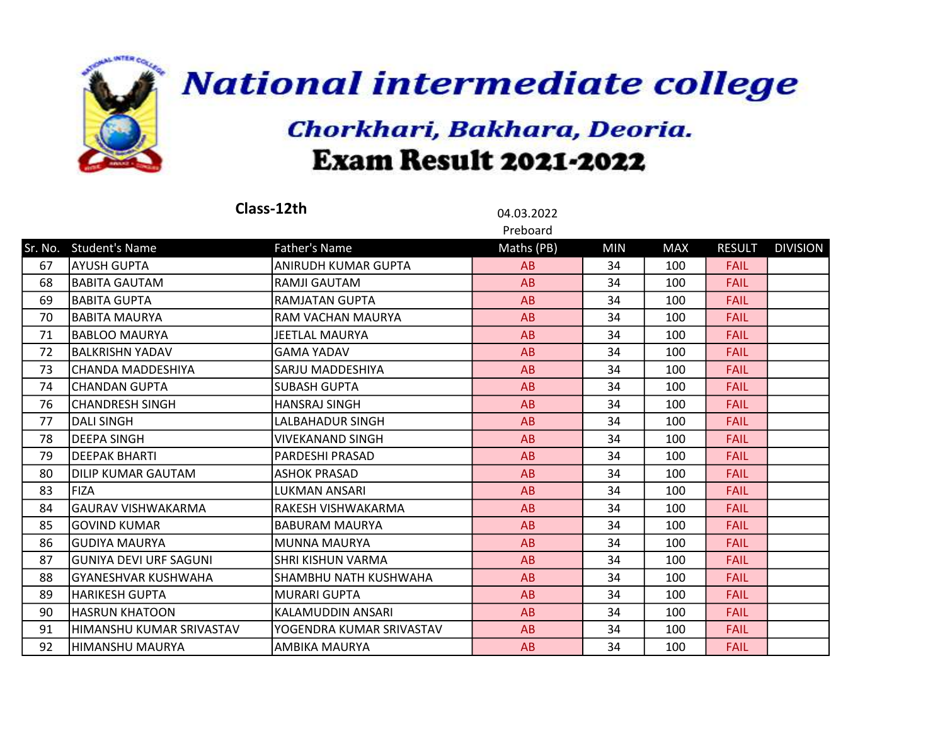

|    | Class-12th                | 04.03.2022               |            |            |            |               |                 |
|----|---------------------------|--------------------------|------------|------------|------------|---------------|-----------------|
|    |                           |                          | Preboard   |            |            |               |                 |
|    | Sr. No. Student's Name    | <b>Father's Name</b>     | Maths (PB) | <b>MIN</b> | <b>MAX</b> | <b>RESULT</b> | <b>DIVISION</b> |
| 67 | layush Gupta              | ANIRUDH KUMAR GUPTA      | AB         | 34         | 100        | <b>FAIL</b>   |                 |
| 68 | <b>BABITA GAUTAM</b>      | RAMJI GAUTAM             | AB         | 34         | 100        | <b>FAIL</b>   |                 |
| 69 | BABITA GUPTA              | <b>RAMJATAN GUPTA</b>    | AB         | 34         | 100        | <b>FAIL</b>   |                 |
| 70 | BABITA MAURYA             | RAM VACHAN MAURYA        | AB         | 34         | 100        | <b>FAIL</b>   |                 |
| 71 | <b>BABLOO MAURYA</b>      | <b>JEETLAL MAURYA</b>    | AB         | 34         | 100        | <b>FAIL</b>   |                 |
| 72 | IBALKRISHN YADAV          | <b>GAMA YADAV</b>        | AB         | 34         | 100        | <b>FAIL</b>   |                 |
| 73 | lCHANDA MADDESHIYA        | SARJU MADDESHIYA         | AB         | 34         | 100        | <b>FAIL</b>   |                 |
| 74 | CHANDAN GUPTA             | <b>SUBASH GUPTA</b>      | AB         | 34         | 100        | <b>FAIL</b>   |                 |
| 76 | lchandresh singh          | <b>HANSRAJ SINGH</b>     | AB         | 34         | 100        | <b>FAIL</b>   |                 |
| 77 | IDALI SINGH               | LALBAHADUR SINGH         | AB         | 34         | 100        | <b>FAIL</b>   |                 |
| 78 | <b>DEEPA SINGH</b>        | <b>VIVEKANAND SINGH</b>  | AB         | 34         | 100        | <b>FAIL</b>   |                 |
| 79 | <b>DEEPAK BHARTI</b>      | PARDESHI PRASAD          | AB         | 34         | 100        | <b>FAIL</b>   |                 |
| 80 | IDILIP KUMAR GAUTAM       | <b>ASHOK PRASAD</b>      | AB         | 34         | 100        | <b>FAIL</b>   |                 |
| 83 | <b>FIZA</b>               | <b>LUKMAN ANSARI</b>     | AB         | 34         | 100        | <b>FAIL</b>   |                 |
| 84 | <b>GAURAV VISHWAKARMA</b> | RAKESH VISHWAKARMA       | AB         | 34         | 100        | <b>FAIL</b>   |                 |
| 85 | GOVIND KUMAR              | <b>BABURAM MAURYA</b>    | AB         | 34         | 100        | <b>FAIL</b>   |                 |
| 86 | <b>GUDIYA MAURYA</b>      | <b>MUNNA MAURYA</b>      | AB         | 34         | 100        | <b>FAIL</b>   |                 |
| 87 | lGUNIYA DEVI URF SAGUNI   | SHRI KISHUN VARMA        | AB         | 34         | 100        | <b>FAIL</b>   |                 |
| 88 | lGYANESHVAR KUSHWAHA      | SHAMBHU NATH KUSHWAHA    | AB         | 34         | 100        | <b>FAIL</b>   |                 |
| 89 | HARIKESH GUPTA            | <b>MURARI GUPTA</b>      | AB         | 34         | 100        | <b>FAIL</b>   |                 |
| 90 | <b>HASRUN KHATOON</b>     | KALAMUDDIN ANSARI        | AB         | 34         | 100        | <b>FAIL</b>   |                 |
| 91 | HIMANSHU KUMAR SRIVASTAV  | YOGENDRA KUMAR SRIVASTAV | AB         | 34         | 100        | <b>FAIL</b>   |                 |
| 92 | <b>HIMANSHU MAURYA</b>    | AMBIKA MAURYA            | AB         | 34         | 100        | <b>FAIL</b>   |                 |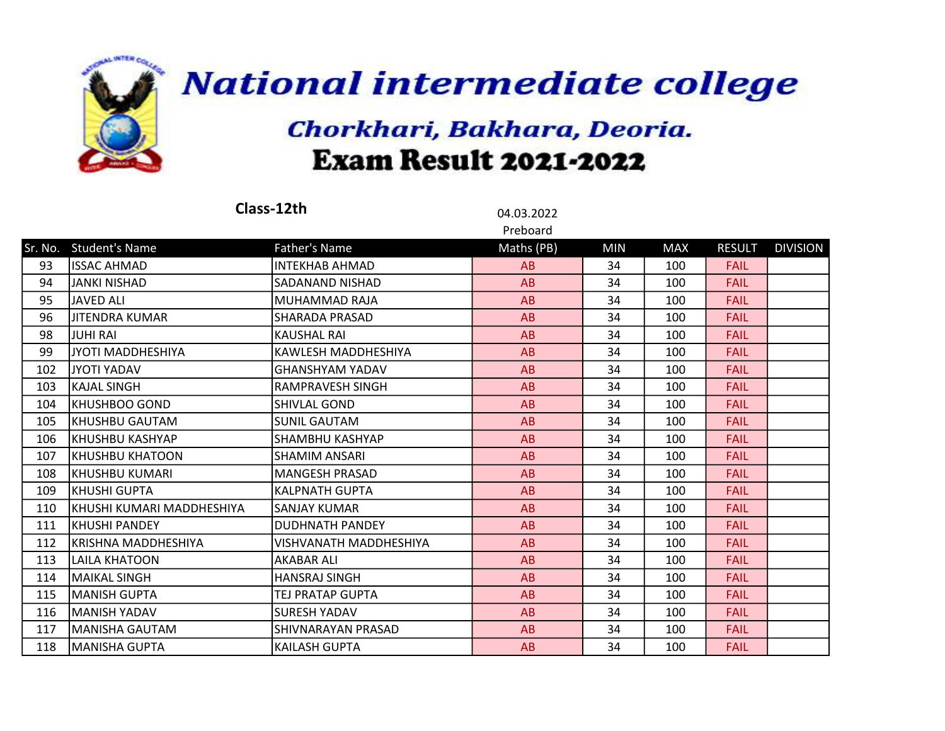

|     | Class-12th                | 04.03.2022              |            |            |            |               |                 |
|-----|---------------------------|-------------------------|------------|------------|------------|---------------|-----------------|
|     |                           |                         | Preboard   |            |            |               |                 |
|     | Sr. No. Student's Name    | <b>Father's Name</b>    | Maths (PB) | <b>MIN</b> | <b>MAX</b> | <b>RESULT</b> | <b>DIVISION</b> |
| 93  | <b>ISSAC AHMAD</b>        | <b>INTEKHAB AHMAD</b>   | AB         | 34         | 100        | <b>FAIL</b>   |                 |
| 94  | <b>JANKI NISHAD</b>       | <b>SADANAND NISHAD</b>  | AB         | 34         | 100        | <b>FAIL</b>   |                 |
| 95  | <b>JAVED ALI</b>          | MUHAMMAD RAJA           | AB         | 34         | 100        | <b>FAIL</b>   |                 |
| 96  | JITENDRA KUMAR            | ISHARADA PRASAD         | AB         | 34         | 100        | <b>FAIL</b>   |                 |
| 98  | <b>JUHI RAI</b>           | <b>KAUSHAL RAI</b>      | AB         | 34         | 100        | <b>FAIL</b>   |                 |
| 99  | JYOTI MADDHESHIYA         | KAWLESH MADDHESHIYA     | AB         | 34         | 100        | <b>FAIL</b>   |                 |
| 102 | JYOTI YADAV               | <b>GHANSHYAM YADAV</b>  | AB         | 34         | 100        | <b>FAIL</b>   |                 |
| 103 | KAJAL SINGH               | RAMPRAVESH SINGH        | AB         | 34         | 100        | <b>FAIL</b>   |                 |
| 104 | KHUSHBOO GOND             | <b>SHIVLAL GOND</b>     | AB         | 34         | 100        | <b>FAIL</b>   |                 |
| 105 | KHUSHBU GAUTAM            | SUNIL GAUTAM            | AB         | 34         | 100        | <b>FAIL</b>   |                 |
| 106 | KHUSHBU KASHYAP           | SHAMBHU KASHYAP         | AB         | 34         | 100        | <b>FAIL</b>   |                 |
| 107 | IKHUSHBU KHATOON          | <b>SHAMIM ANSARI</b>    | AB         | 34         | 100        | <b>FAIL</b>   |                 |
| 108 | KHUSHBU KUMARI            | <b>MANGESH PRASAD</b>   | AB         | 34         | 100        | <b>FAIL</b>   |                 |
| 109 | KHUSHI GUPTA              | <b>KALPNATH GUPTA</b>   | AB         | 34         | 100        | <b>FAIL</b>   |                 |
| 110 | KHUSHI KUMARI MADDHESHIYA | SANJAY KUMAR            | AB         | 34         | 100        | <b>FAIL</b>   |                 |
| 111 | KHUSHI PANDEY             | DUDHNATH PANDEY         | AB         | 34         | 100        | <b>FAIL</b>   |                 |
| 112 | İKRISHNA MADDHESHIYA      | VISHVANATH MADDHESHIYA  | AB         | 34         | 100        | <b>FAIL</b>   |                 |
| 113 | <b>LAILA KHATOON</b>      | AKABAR ALI              | AB         | 34         | 100        | <b>FAIL</b>   |                 |
| 114 | İMAIKAL SINGH             | <b>HANSRAJ SINGH</b>    | AB         | 34         | 100        | <b>FAIL</b>   |                 |
| 115 | MANISH GUPTA              | <b>TEJ PRATAP GUPTA</b> | AB         | 34         | 100        | <b>FAIL</b>   |                 |
| 116 | MANISH YADAV              | <b>SURESH YADAV</b>     | AB         | 34         | 100        | <b>FAIL</b>   |                 |
| 117 | MANISHA GAUTAM            | SHIVNARAYAN PRASAD      | AB         | 34         | 100        | <b>FAIL</b>   |                 |
| 118 | lMANISHA GUPTA            | lKAILASH GUPTA          | AB         | 34         | 100        | <b>FAIL</b>   |                 |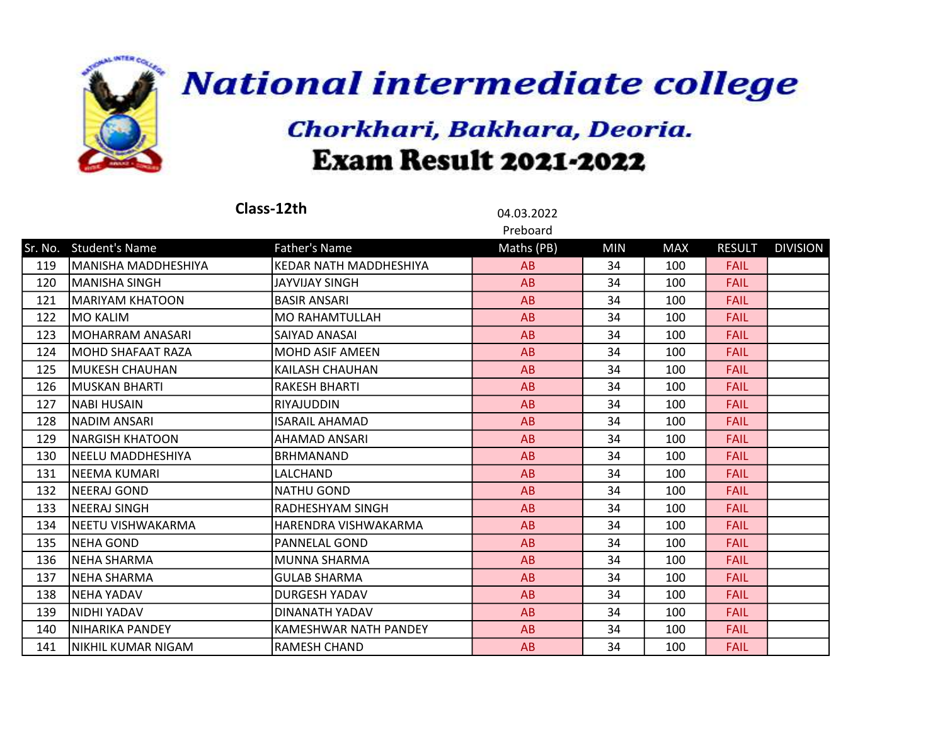

|         | Class-12th            | 04.03.2022             |            |            |            |               |                 |
|---------|-----------------------|------------------------|------------|------------|------------|---------------|-----------------|
|         |                       |                        | Preboard   |            |            |               |                 |
| Sr. No. | <b>Student's Name</b> | <b>Father's Name</b>   | Maths (PB) | <b>MIN</b> | <b>MAX</b> | <b>RESULT</b> | <b>DIVISION</b> |
| 119     | lMANISHA MADDHESHIYA  | KEDAR NATH MADDHESHIYA | AB         | 34         | 100        | <b>FAIL</b>   |                 |
| 120     | <b>MANISHA SINGH</b>  | <b>JAYVIJAY SINGH</b>  | AB         | 34         | 100        | <b>FAIL</b>   |                 |
| 121     | MARIYAM KHATOON       | <b>BASIR ANSARI</b>    | AB         | 34         | 100        | <b>FAIL</b>   |                 |
| 122     | MO KALIM              | <b>MO RAHAMTULLAH</b>  | AB         | 34         | 100        | <b>FAIL</b>   |                 |
| 123     | MOHARRAM ANASARI      | SAIYAD ANASAI          | AB         | 34         | 100        | <b>FAIL</b>   |                 |
| 124     | lMOHD SHAFAAT RAZA    | <b>MOHD ASIF AMEEN</b> | AB         | 34         | 100        | <b>FAIL</b>   |                 |
| 125     | MUKESH CHAUHAN        | KAILASH CHAUHAN        | AB         | 34         | 100        | <b>FAIL</b>   |                 |
| 126     | <b>MUSKAN BHARTI</b>  | <b>RAKESH BHARTI</b>   | AB         | 34         | 100        | <b>FAIL</b>   |                 |
| 127     | <b>NABI HUSAIN</b>    | RIYAJUDDIN             | AB         | 34         | 100        | <b>FAIL</b>   |                 |
| 128     | <b>NADIM ANSARI</b>   | <b>ISARAIL AHAMAD</b>  | AB         | 34         | 100        | <b>FAIL</b>   |                 |
| 129     | INARGISH KHATOON      | AHAMAD ANSARI          | AB         | 34         | 100        | <b>FAIL</b>   |                 |
| 130     | NEELU MADDHESHIYA     | <b>BRHMANAND</b>       | AB         | 34         | 100        | <b>FAIL</b>   |                 |
| 131     | INEEMA KUMARI         | LALCHAND               | AB         | 34         | 100        | <b>FAIL</b>   |                 |
| 132     | NEERAJ GOND           | <b>NATHU GOND</b>      | AB         | 34         | 100        | <b>FAIL</b>   |                 |
| 133     | <b>NEERAJ SINGH</b>   | RADHESHYAM SINGH       | AB         | 34         | 100        | <b>FAIL</b>   |                 |
| 134     | lNEETU VISHWAKARMA    | HARENDRA VISHWAKARMA   | AB         | 34         | 100        | <b>FAIL</b>   |                 |
| 135     | INEHA GOND            | PANNELAL GOND          | AB         | 34         | 100        | <b>FAIL</b>   |                 |
| 136     | INEHA SHARMA          | MUNNA SHARMA           | AB         | 34         | 100        | <b>FAIL</b>   |                 |
| 137     | NEHA SHARMA           | <b>GULAB SHARMA</b>    | AB         | 34         | 100        | <b>FAIL</b>   |                 |
| 138     | NEHA YADAV            | <b>DURGESH YADAV</b>   | AB         | 34         | 100        | <b>FAIL</b>   |                 |
| 139     | NIDHI YADAV           | DINANATH YADAV         | AB         | 34         | 100        | <b>FAIL</b>   |                 |
| 140     | INIHARIKA PANDEY      | KAMESHWAR NATH PANDEY  | AB         | 34         | 100        | <b>FAIL</b>   |                 |
| 141     | NIKHIL KUMAR NIGAM    | RAMESH CHAND           | AB         | 34         | 100        | <b>FAIL</b>   |                 |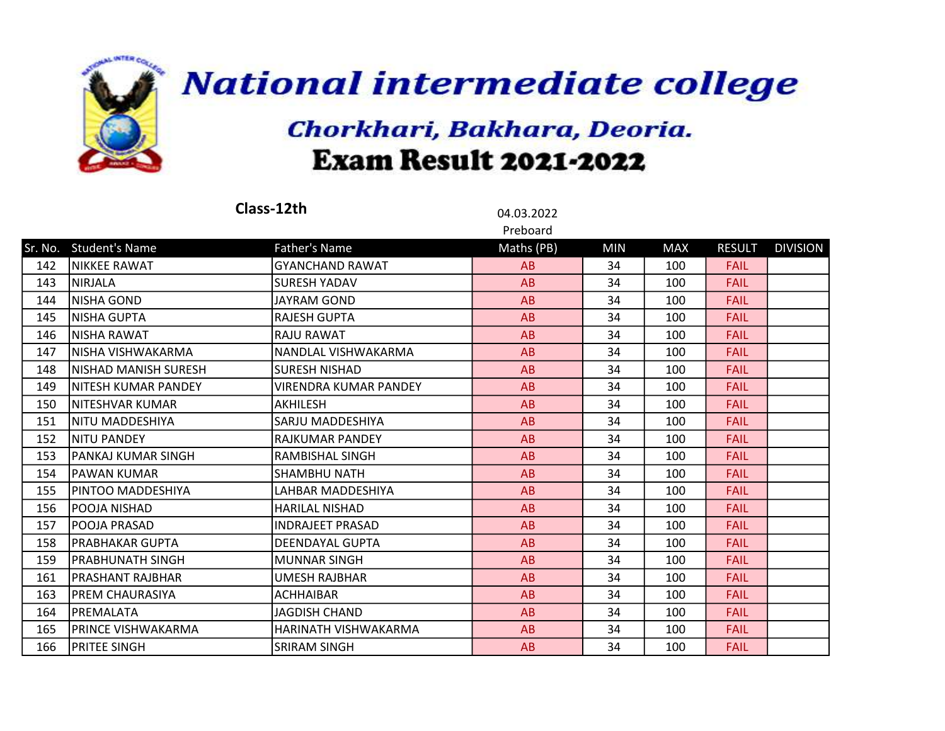

|     | Class-12th             | 04.03.2022                   |            |            |            |               |                 |
|-----|------------------------|------------------------------|------------|------------|------------|---------------|-----------------|
|     |                        |                              | Preboard   |            |            |               |                 |
|     | Sr. No. Student's Name | <b>Father's Name</b>         | Maths (PB) | <b>MIN</b> | <b>MAX</b> | <b>RESULT</b> | <b>DIVISION</b> |
| 142 | NIKKEE RAWAT           | <b>GYANCHAND RAWAT</b>       | AB         | 34         | 100        | <b>FAIL</b>   |                 |
| 143 | NIRJALA                | <b>SURESH YADAV</b>          | AB         | 34         | 100        | <b>FAIL</b>   |                 |
| 144 | INISHA GOND            | JAYRAM GOND                  | AB         | 34         | 100        | <b>FAIL</b>   |                 |
| 145 | NISHA GUPTA            | <b>RAJESH GUPTA</b>          | AB         | 34         | 100        | <b>FAIL</b>   |                 |
| 146 | <b>NISHA RAWAT</b>     | <b>RAJU RAWAT</b>            | AB         | 34         | 100        | <b>FAIL</b>   |                 |
| 147 | NISHA VISHWAKARMA      | NANDLAL VISHWAKARMA          | AB         | 34         | 100        | <b>FAIL</b>   |                 |
| 148 | INISHAD MANISH SURESH  | <b>SURESH NISHAD</b>         | AB         | 34         | 100        | <b>FAIL</b>   |                 |
| 149 | INITESH KUMAR PANDEY   | <b>VIRENDRA KUMAR PANDEY</b> | AB         | 34         | 100        | <b>FAIL</b>   |                 |
| 150 | INITESHVAR KUMAR       | lakhilesh                    | AB         | 34         | 100        | <b>FAIL</b>   |                 |
| 151 | NITU MADDESHIYA        | SARJU MADDESHIYA             | AB         | 34         | 100        | <b>FAIL</b>   |                 |
| 152 | NITU PANDEY            | RAJKUMAR PANDEY              | AB         | 34         | 100        | <b>FAIL</b>   |                 |
| 153 | lPANKAJ KUMAR SINGH    | <b>RAMBISHAL SINGH</b>       | AB         | 34         | 100        | <b>FAIL</b>   |                 |
| 154 | IPAWAN KUMAR           | SHAMBHU NATH                 | AB         | 34         | 100        | <b>FAIL</b>   |                 |
| 155 | PINTOO MADDESHIYA      | LAHBAR MADDESHIYA            | AB         | 34         | 100        | <b>FAIL</b>   |                 |
| 156 | POOJA NISHAD           | <b>HARILAL NISHAD</b>        | AB         | 34         | 100        | <b>FAIL</b>   |                 |
| 157 | POOJA PRASAD           | <b>INDRAJEET PRASAD</b>      | AB         | 34         | 100        | <b>FAIL</b>   |                 |
| 158 | IPRABHAKAR GUPTA       | DEENDAYAL GUPTA              | AB         | 34         | 100        | <b>FAIL</b>   |                 |
| 159 | IPRABHUNATH SINGH      | <b>MUNNAR SINGH</b>          | AB         | 34         | 100        | <b>FAIL</b>   |                 |
| 161 | IPRASHANT RAJBHAR      | <b>UMESH RAJBHAR</b>         | AB         | 34         | 100        | <b>FAIL</b>   |                 |
| 163 | PREM CHAURASIYA        | <b>ACHHAIBAR</b>             | AB         | 34         | 100        | <b>FAIL</b>   |                 |
| 164 | PREMALATA              | <b>JAGDISH CHAND</b>         | AB         | 34         | 100        | <b>FAIL</b>   |                 |
| 165 | PRINCE VISHWAKARMA     | HARINATH VISHWAKARMA         | AB         | 34         | 100        | <b>FAIL</b>   |                 |
| 166 | PRITEE SINGH           | ISRIRAM SINGH                | AB         | 34         | 100        | <b>FAIL</b>   |                 |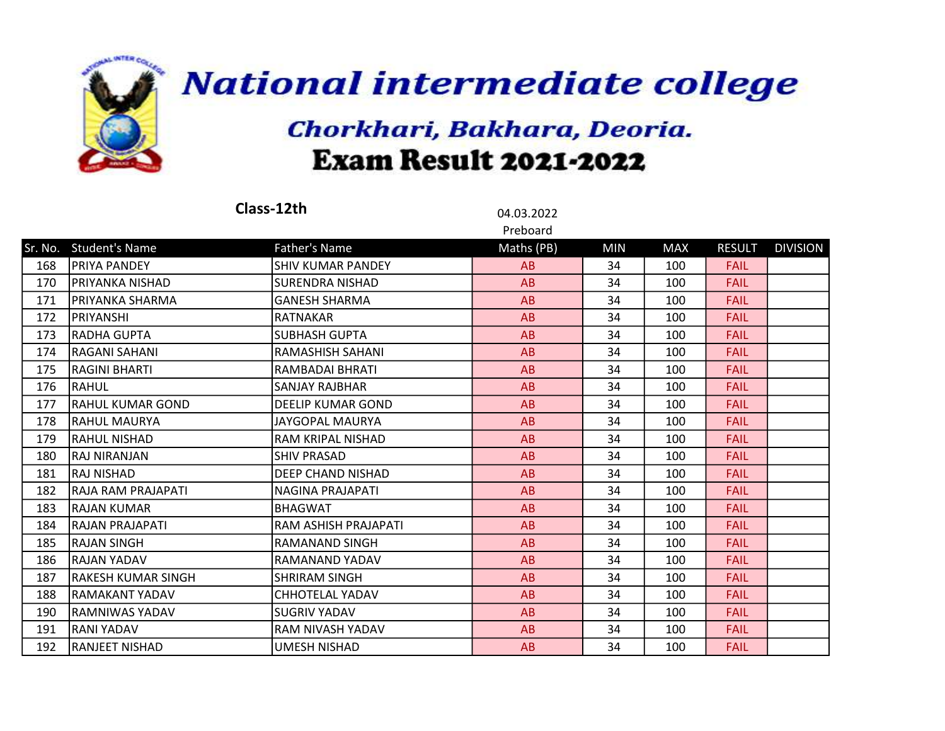

|     | Class-12th                | 04.03.2022               |            |            |            |               |                 |
|-----|---------------------------|--------------------------|------------|------------|------------|---------------|-----------------|
|     |                           |                          | Preboard   |            |            |               |                 |
|     | Sr. No. Student's Name    | <b>Father's Name</b>     | Maths (PB) | <b>MIN</b> | <b>MAX</b> | <b>RESULT</b> | <b>DIVISION</b> |
| 168 | IPRIYA PANDEY             | <b>SHIV KUMAR PANDEY</b> | AB         | 34         | 100        | <b>FAIL</b>   |                 |
| 170 | <b>PRIYANKA NISHAD</b>    | <b>SURENDRA NISHAD</b>   | AB         | 34         | 100        | <b>FAIL</b>   |                 |
| 171 | PRIYANKA SHARMA           | <b>GANESH SHARMA</b>     | AB         | 34         | 100        | <b>FAIL</b>   |                 |
| 172 | <b>PRIYANSHI</b>          | IRATNAKAR                | AB         | 34         | 100        | <b>FAIL</b>   |                 |
| 173 | RADHA GUPTA               | ISUBHASH GUPTA           | AB         | 34         | 100        | <b>FAIL</b>   |                 |
| 174 | IRAGANI SAHANI            | IRAMASHISH SAHANI        | AB         | 34         | 100        | <b>FAIL</b>   |                 |
| 175 | RAGINI BHARTI             | RAMBADAI BHRATI          | AB         | 34         | 100        | <b>FAIL</b>   |                 |
| 176 | <b>RAHUL</b>              | <b>SANJAY RAJBHAR</b>    | AB         | 34         | 100        | <b>FAIL</b>   |                 |
| 177 | RAHUL KUMAR GOND          | <b>DEELIP KUMAR GOND</b> | AB         | 34         | 100        | <b>FAIL</b>   |                 |
| 178 | IRAHUL MAURYA             | JAYGOPAL MAURYA          | AB         | 34         | 100        | <b>FAIL</b>   |                 |
| 179 | lrahul Nishad             | RAM KRIPAL NISHAD        | AB         | 34         | 100        | <b>FAIL</b>   |                 |
| 180 | RAJ NIRANJAN              | <b>SHIV PRASAD</b>       | AB         | 34         | 100        | <b>FAIL</b>   |                 |
| 181 | IRAJ NISHAD               | <b>DEEP CHAND NISHAD</b> | AB         | 34         | 100        | <b>FAIL</b>   |                 |
| 182 | IRAJA RAM PRAJAPATI       | NAGINA PRAJAPATI         | AB         | 34         | 100        | <b>FAIL</b>   |                 |
| 183 | lrajan kumar              | <b>BHAGWAT</b>           | AB         | 34         | 100        | <b>FAIL</b>   |                 |
| 184 | <b>RAJAN PRAJAPATI</b>    | RAM ASHISH PRAJAPATI     | AB         | 34         | 100        | <b>FAIL</b>   |                 |
| 185 | IRAJAN SINGH              | IRAMANAND SINGH          | AB         | 34         | 100        | <b>FAIL</b>   |                 |
| 186 | IRAJAN YADAV              | IRAMANAND YADAV          | AB         | 34         | 100        | <b>FAIL</b>   |                 |
| 187 | <b>RAKESH KUMAR SINGH</b> | ISHRIRAM SINGH           | AB         | 34         | 100        | <b>FAIL</b>   |                 |
| 188 | RAMAKANT YADAV            | <b>CHHOTELAL YADAV</b>   | AB         | 34         | 100        | <b>FAIL</b>   |                 |
| 190 | RAMNIWAS YADAV            | <b>SUGRIV YADAV</b>      | AB         | 34         | 100        | <b>FAIL</b>   |                 |
| 191 | <b>RANI YADAV</b>         | <b>RAM NIVASH YADAV</b>  | AB         | 34         | 100        | <b>FAIL</b>   |                 |
| 192 | RANJEET NISHAD            | <b>UMESH NISHAD</b>      | AB         | 34         | 100        | <b>FAIL</b>   |                 |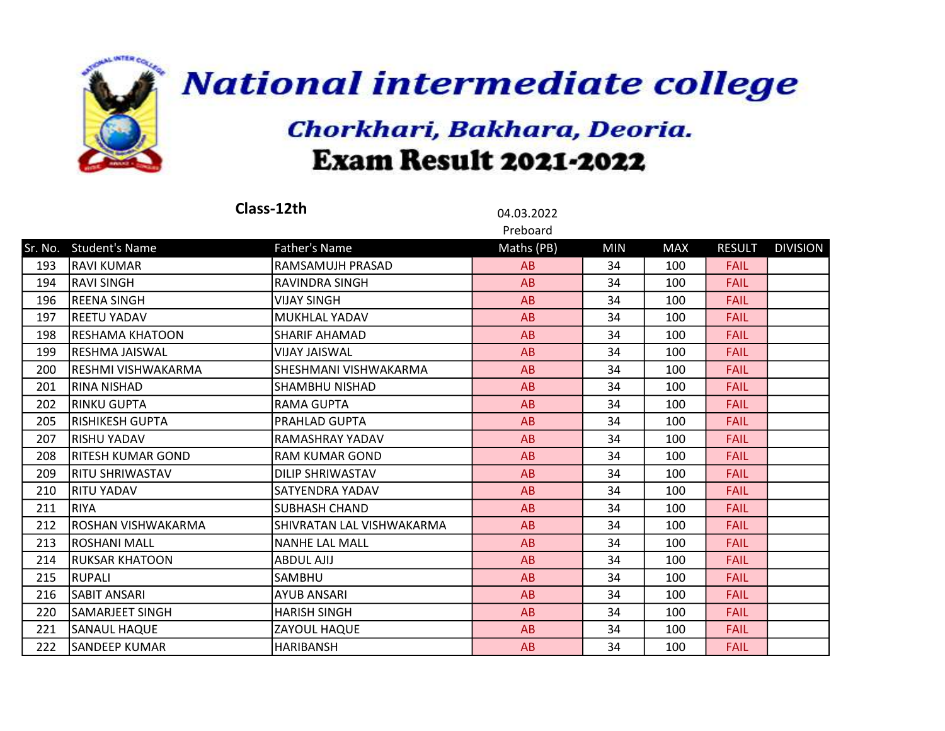

|     | Class-12th             | 04.03.2022                |            |            |            |               |                 |
|-----|------------------------|---------------------------|------------|------------|------------|---------------|-----------------|
|     |                        |                           | Preboard   |            |            |               |                 |
|     | Sr. No. Student's Name | <b>Father's Name</b>      | Maths (PB) | <b>MIN</b> | <b>MAX</b> | <b>RESULT</b> | <b>DIVISION</b> |
| 193 | lravi kumar            | RAMSAMUJH PRASAD          | AB         | 34         | 100        | <b>FAIL</b>   |                 |
| 194 | RAVI SINGH             | <b>RAVINDRA SINGH</b>     | AB         | 34         | 100        | <b>FAIL</b>   |                 |
| 196 | REENA SINGH            | VIJAY SINGH               | AB         | 34         | 100        | <b>FAIL</b>   |                 |
| 197 | REETU YADAV            | lMUKHLAL YADAV            | AB         | 34         | 100        | <b>FAIL</b>   |                 |
| 198 | lreshama khatoon       | ISHARIF AHAMAD            | AB         | 34         | 100        | <b>FAIL</b>   |                 |
| 199 | lRESHMA JAISWAL        | lVIJAY JAISWAL            | AB         | 34         | 100        | <b>FAIL</b>   |                 |
| 200 | İRESHMI VISHWAKARMA    | SHESHMANI VISHWAKARMA     | AB         | 34         | 100        | <b>FAIL</b>   |                 |
| 201 | RINA NISHAD            | <b>SHAMBHU NISHAD</b>     | AB         | 34         | 100        | <b>FAIL</b>   |                 |
| 202 | RINKU GUPTA            | <b>RAMA GUPTA</b>         | AB         | 34         | 100        | <b>FAIL</b>   |                 |
| 205 | IRISHIKESH GUPTA       | IPRAHLAD GUPTA            | AB         | 34         | 100        | <b>FAIL</b>   |                 |
| 207 | IRISHU YADAV           | IRAMASHRAY YADAV          | AB         | 34         | 100        | <b>FAIL</b>   |                 |
| 208 | IRITESH KUMAR GOND     | IRAM KUMAR GOND           | AB         | 34         | 100        | <b>FAIL</b>   |                 |
| 209 | IRITU SHRIWASTAV       | <b>DILIP SHRIWASTAV</b>   | AB         | 34         | 100        | <b>FAIL</b>   |                 |
| 210 | RITU YADAV             | <b>SATYENDRA YADAV</b>    | AB         | 34         | 100        | <b>FAIL</b>   |                 |
| 211 | IRIYA                  | <b>SUBHASH CHAND</b>      | AB         | 34         | 100        | <b>FAIL</b>   |                 |
| 212 | lroshan vishwakarma    | SHIVRATAN LAL VISHWAKARMA | AB         | 34         | 100        | <b>FAIL</b>   |                 |
| 213 | lroshani mall          | lNANHE LAL MALL           | AB         | 34         | 100        | <b>FAIL</b>   |                 |
| 214 | RUKSAR KHATOON         | <b>ABDUL AJIJ</b>         | AB         | 34         | 100        | <b>FAIL</b>   |                 |
| 215 | <b>RUPALI</b>          | <b>SAMBHU</b>             | AB         | 34         | 100        | <b>FAIL</b>   |                 |
| 216 | SABIT ANSARI           | <b>AYUB ANSARI</b>        | AB         | 34         | 100        | <b>FAIL</b>   |                 |
| 220 | SAMARJEET SINGH        | <b>HARISH SINGH</b>       | AB         | 34         | 100        | <b>FAIL</b>   |                 |
| 221 | <b>SANAUL HAQUE</b>    | ZAYOUL HAQUE              | AB         | 34         | 100        | <b>FAIL</b>   |                 |
| 222 | <b>SANDEEP KUMAR</b>   | HARIBANSH                 | AB         | 34         | 100        | <b>FAIL</b>   |                 |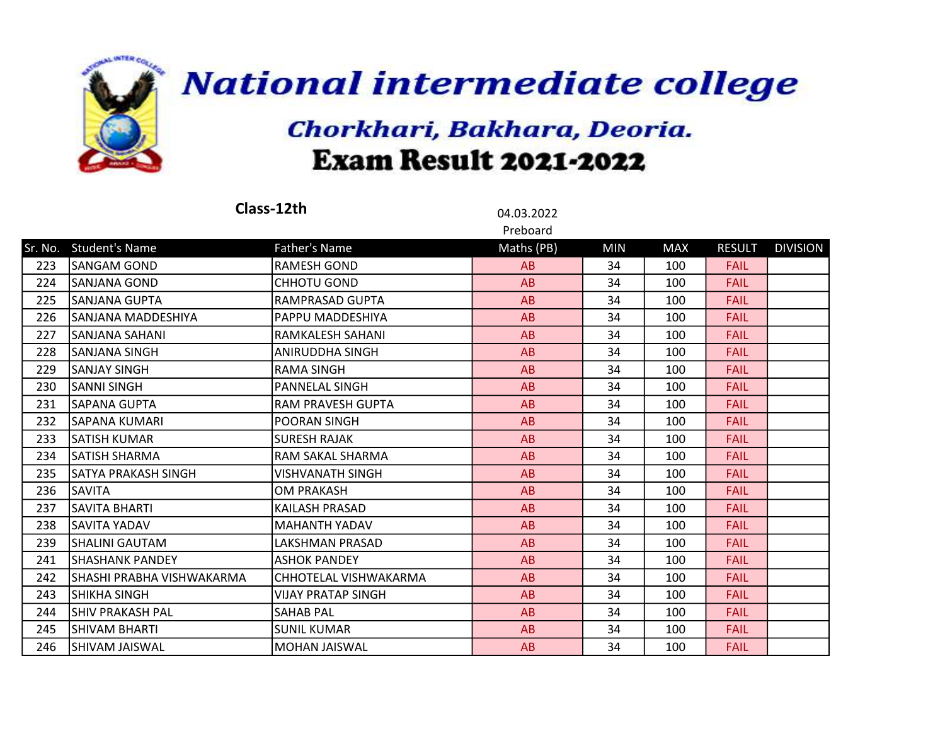

|         | Class-12th                | 04.03.2022               |            |            |            |               |                 |
|---------|---------------------------|--------------------------|------------|------------|------------|---------------|-----------------|
|         |                           |                          | Preboard   |            |            |               |                 |
| Sr. No. | <b>Student's Name</b>     | <b>Father's Name</b>     | Maths (PB) | <b>MIN</b> | <b>MAX</b> | <b>RESULT</b> | <b>DIVISION</b> |
| 223     | lSANGAM GOND              | <b>RAMESH GOND</b>       | AB         | 34         | 100        | <b>FAIL</b>   |                 |
| 224     | <b>SANJANA GOND</b>       | <b>CHHOTU GOND</b>       | AB         | 34         | 100        | <b>FAIL</b>   |                 |
| 225     | SANJANA GUPTA             | RAMPRASAD GUPTA          | AB         | 34         | 100        | <b>FAIL</b>   |                 |
| 226     | SANJANA MADDESHIYA        | PAPPU MADDESHIYA         | AB         | 34         | 100        | <b>FAIL</b>   |                 |
| 227     | <b>SANJANA SAHANI</b>     | RAMKALESH SAHANI         | AB         | 34         | 100        | <b>FAIL</b>   |                 |
| 228     | SANJANA SINGH             | ANIRUDDHA SINGH          | AB         | 34         | 100        | <b>FAIL</b>   |                 |
| 229     | <b>SANJAY SINGH</b>       | <b>RAMA SINGH</b>        | AB         | 34         | 100        | <b>FAIL</b>   |                 |
| 230     | <b>SANNI SINGH</b>        | <b>PANNELAL SINGH</b>    | AB         | 34         | 100        | <b>FAIL</b>   |                 |
| 231     | <b>SAPANA GUPTA</b>       | <b>RAM PRAVESH GUPTA</b> | AB         | 34         | 100        | <b>FAIL</b>   |                 |
| 232     | lSAPANA KUMARI            | POORAN SINGH             | AB         | 34         | 100        | <b>FAIL</b>   |                 |
| 233     | SATISH KUMAR              | <b>SURESH RAJAK</b>      | AB         | 34         | 100        | <b>FAIL</b>   |                 |
| 234     | <b>SATISH SHARMA</b>      | RAM SAKAL SHARMA         | AB         | 34         | 100        | <b>FAIL</b>   |                 |
| 235     | SATYA PRAKASH SINGH       | VISHVANATH SINGH         | AB         | 34         | 100        | <b>FAIL</b>   |                 |
| 236     | <b>SAVITA</b>             | <b>OM PRAKASH</b>        | AB         | 34         | 100        | <b>FAIL</b>   |                 |
| 237     | <b>SAVITA BHARTI</b>      | KAILASH PRASAD           | AB         | 34         | 100        | <b>FAIL</b>   |                 |
| 238     | <b>SAVITA YADAV</b>       | MAHANTH YADAV            | AB         | 34         | 100        | <b>FAIL</b>   |                 |
| 239     | SHALINI GAUTAM            | LAKSHMAN PRASAD          | AB         | 34         | 100        | <b>FAIL</b>   |                 |
| 241     | ISHASHANK PANDEY          | <b>ASHOK PANDEY</b>      | AB         | 34         | 100        | <b>FAIL</b>   |                 |
| 242     | SHASHI PRABHA VISHWAKARMA | CHHOTELAL VISHWAKARMA    | AB         | 34         | 100        | <b>FAIL</b>   |                 |
| 243     | ISHIKHA SINGH             | VIJAY PRATAP SINGH       | AB         | 34         | 100        | <b>FAIL</b>   |                 |
| 244     | <b>SHIV PRAKASH PAL</b>   | <b>SAHAB PAL</b>         | AB         | 34         | 100        | <b>FAIL</b>   |                 |
| 245     | <b>SHIVAM BHARTI</b>      | <b>SUNIL KUMAR</b>       | AB         | 34         | 100        | <b>FAIL</b>   |                 |
| 246     | <b>SHIVAM JAISWAL</b>     | <b>MOHAN JAISWAL</b>     | AB         | 34         | 100        | <b>FAIL</b>   |                 |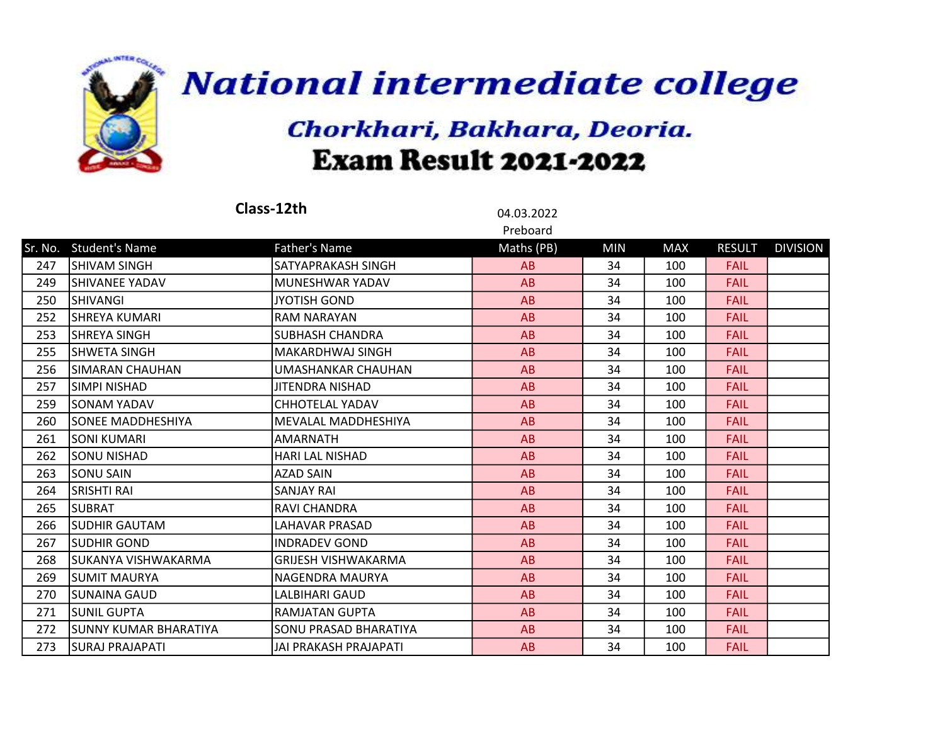

|     | Class-12th             | 04.03.2022                   |            |            |            |               |                 |
|-----|------------------------|------------------------------|------------|------------|------------|---------------|-----------------|
|     |                        |                              | Preboard   |            |            |               |                 |
|     | Sr. No. Student's Name | <b>Father's Name</b>         | Maths (PB) | <b>MIN</b> | <b>MAX</b> | <b>RESULT</b> | <b>DIVISION</b> |
| 247 | İSHIVAM SINGH          | SATYAPRAKASH SINGH           | AB         | 34         | 100        | <b>FAIL</b>   |                 |
| 249 | İSHIVANEE YADAV        | IMUNESHWAR YADAV             | AB         | 34         | 100        | <b>FAIL</b>   |                 |
| 250 | SHIVANGI               | JYOTISH GOND                 | AB         | 34         | 100        | <b>FAIL</b>   |                 |
| 252 | <b>SHREYA KUMARI</b>   | <b>RAM NARAYAN</b>           | AB         | 34         | 100        | <b>FAIL</b>   |                 |
| 253 | SHREYA SINGH           | <b>SUBHASH CHANDRA</b>       | AB         | 34         | 100        | <b>FAIL</b>   |                 |
| 255 | ISHWETA SINGH          | lMAKARDHWAJ SINGH            | AB         | 34         | 100        | <b>FAIL</b>   |                 |
| 256 | ISIMARAN CHAUHAN       | UMASHANKAR CHAUHAN           | AB         | 34         | 100        | <b>FAIL</b>   |                 |
| 257 | İSIMPI NISHAD          | <b>JITENDRA NISHAD</b>       | AB         | 34         | 100        | <b>FAIL</b>   |                 |
| 259 | lsonam yadav           | <b>CHHOTELAL YADAV</b>       | AB         | 34         | 100        | <b>FAIL</b>   |                 |
| 260 | lsonee MADDHESHIYA     | lMEVALAL MADDHESHIYA         | AB         | 34         | 100        | <b>FAIL</b>   |                 |
| 261 | ISONI KUMARI           | AMARNATH                     | AB         | 34         | 100        | <b>FAIL</b>   |                 |
| 262 | <b>SONU NISHAD</b>     | <b>HARI LAL NISHAD</b>       | AB         | 34         | 100        | <b>FAIL</b>   |                 |
| 263 | ISONU SAIN             | <b>AZAD SAIN</b>             | AB         | 34         | 100        | <b>FAIL</b>   |                 |
| 264 | SRISHTI RAI            | <b>SANJAY RAI</b>            | AB         | 34         | 100        | <b>FAIL</b>   |                 |
| 265 | <b>SUBRAT</b>          | <b>RAVI CHANDRA</b>          | AB         | 34         | 100        | <b>FAIL</b>   |                 |
| 266 | <b>SUDHIR GAUTAM</b>   | <b>LAHAVAR PRASAD</b>        | AB         | 34         | 100        | <b>FAIL</b>   |                 |
| 267 | ISUDHIR GOND           | IINDRADEV GOND               | AB         | 34         | 100        | <b>FAIL</b>   |                 |
| 268 | ISUKANYA VISHWAKARMA   | İGRIJESH VISHWAKARMA         | AB         | 34         | 100        | <b>FAIL</b>   |                 |
| 269 | ISUMIT MAURYA          | INAGENDRA MAURYA             | AB         | 34         | 100        | <b>FAIL</b>   |                 |
| 270 | ISUNAINA GAUD          | LALBIHARI GAUD               | AB         | 34         | 100        | <b>FAIL</b>   |                 |
| 271 | <b>SUNIL GUPTA</b>     | <b>RAMJATAN GUPTA</b>        | AB         | 34         | 100        | <b>FAIL</b>   |                 |
| 272 | SUNNY KUMAR BHARATIYA  | <b>SONU PRASAD BHARATIYA</b> | AB         | 34         | 100        | <b>FAIL</b>   |                 |
| 273 | SURAJ PRAJAPATI        | JAI PRAKASH PRAJAPATI        | AB         | 34         | 100        | <b>FAIL</b>   |                 |